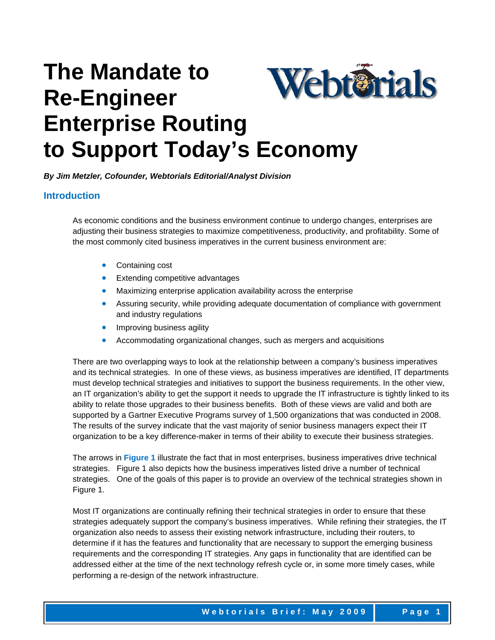# **The Mandate to**  Webterials **Re-Engineer Enterprise Routing to Support Today's Economy**

*By Jim Metzler, Cofounder, Webtorials Editorial/Analyst Division*

### **Introduction**

As economic conditions and the business environment continue to undergo changes, enterprises are adjusting their business strategies to maximize competitiveness, productivity, and profitability. Some of the most commonly cited business imperatives in the current business environment are:

- Containing cost
- Extending competitive advantages
- Maximizing enterprise application availability across the enterprise
- Assuring security, while providing adequate documentation of compliance with government and industry regulations
- Improving business agility
- Accommodating organizational changes, such as mergers and acquisitions

There are two overlapping ways to look at the relationship between a company's business imperatives and its technical strategies. In one of these views, as business imperatives are identified, IT departments must develop technical strategies and initiatives to support the business requirements. In the other view, an IT organization's ability to get the support it needs to upgrade the IT infrastructure is tightly linked to its ability to relate those upgrades to their business benefits. Both of these views are valid and both are supported by a Gartner Executive Programs survey of 1,500 organizations that was conducted in 2008. The results of the survey indicate that the vast majority of senior business managers expect their IT organization to be a key difference-maker in terms of their ability to execute their business strategies.

The arrows in **Figure 1** illustrate the fact that in most enterprises, business imperatives drive technical strategies. Figure 1 also depicts how the business imperatives listed drive a number of technical strategies. One of the goals of this paper is to provide an overview of the technical strategies shown in Figure 1.

Most IT organizations are continually refining their technical strategies in order to ensure that these strategies adequately support the company's business imperatives. While refining their strategies, the IT organization also needs to assess their existing network infrastructure, including their routers, to determine if it has the features and functionality that are necessary to support the emerging business requirements and the corresponding IT strategies. Any gaps in functionality that are identified can be addressed either at the time of the next technology refresh cycle or, in some more timely cases, while performing a re-design of the network infrastructure.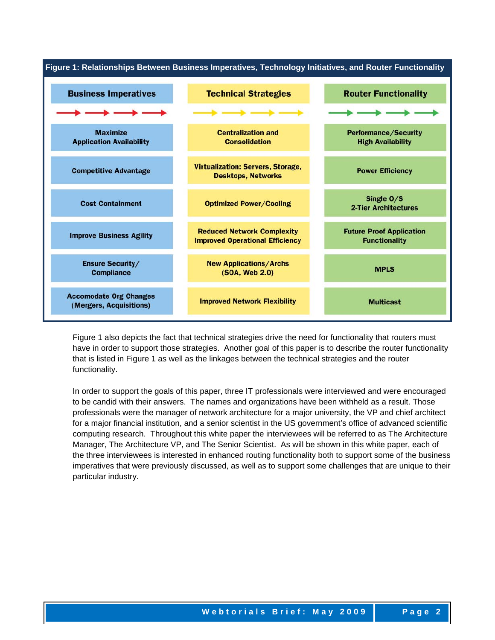

Figure 1 also depicts the fact that technical strategies drive the need for functionality that routers must have in order to support those strategies. Another goal of this paper is to describe the router functionality that is listed in Figure 1 as well as the linkages between the technical strategies and the router functionality.

In order to support the goals of this paper, three IT professionals were interviewed and were encouraged to be candid with their answers. The names and organizations have been withheld as a result. Those professionals were the manager of network architecture for a major university, the VP and chief architect for a major financial institution, and a senior scientist in the US government's office of advanced scientific computing research. Throughout this white paper the interviewees will be referred to as The Architecture Manager, The Architecture VP, and The Senior Scientist. As will be shown in this white paper, each of the three interviewees is interested in enhanced routing functionality both to support some of the business imperatives that were previously discussed, as well as to support some challenges that are unique to their particular industry.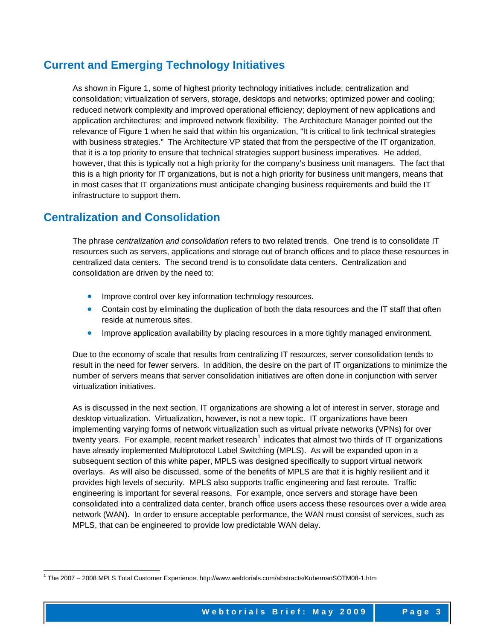### **Current and Emerging Technology Initiatives**

As shown in Figure 1, some of highest priority technology initiatives include: centralization and consolidation; virtualization of servers, storage, desktops and networks; optimized power and cooling; reduced network complexity and improved operational efficiency; deployment of new applications and application architectures; and improved network flexibility. The Architecture Manager pointed out the relevance of Figure 1 when he said that within his organization, "It is critical to link technical strategies with business strategies." The Architecture VP stated that from the perspective of the IT organization, that it is a top priority to ensure that technical strategies support business imperatives. He added, however, that this is typically not a high priority for the company's business unit managers. The fact that this is a high priority for IT organizations, but is not a high priority for business unit mangers, means that in most cases that IT organizations must anticipate changing business requirements and build the IT infrastructure to support them.

### **Centralization and Consolidation**

1

The phrase *centralization and consolidation* refers to two related trends. One trend is to consolidate IT resources such as servers, applications and storage out of branch offices and to place these resources in centralized data centers. The second trend is to consolidate data centers. Centralization and consolidation are driven by the need to:

- Improve control over key information technology resources.
- Contain cost by eliminating the duplication of both the data resources and the IT staff that often reside at numerous sites.
- Improve application availability by placing resources in a more tightly managed environment.

Due to the economy of scale that results from centralizing IT resources, server consolidation tends to result in the need for fewer servers. In addition, the desire on the part of IT organizations to minimize the number of servers means that server consolidation initiatives are often done in conjunction with server virtualization initiatives.

As is discussed in the next section, IT organizations are showing a lot of interest in server, storage and desktop virtualization. Virtualization, however, is not a new topic. IT organizations have been implementing varying forms of network virtualization such as virtual private networks (VPNs) for over twenty years. For example, recent market research<sup>[1](#page-2-0)</sup> indicates that almost two thirds of IT organizations have already implemented Multiprotocol Label Switching (MPLS). As will be expanded upon in a subsequent section of this white paper, MPLS was designed specifically to support virtual network overlays. As will also be discussed, some of the benefits of MPLS are that it is highly resilient and it provides high levels of security. MPLS also supports traffic engineering and fast reroute. Traffic engineering is important for several reasons. For example, once servers and storage have been consolidated into a centralized data center, branch office users access these resources over a wide area network (WAN). In order to ensure acceptable performance, the WAN must consist of services, such as MPLS, that can be engineered to provide low predictable WAN delay.

<span id="page-2-0"></span><sup>1</sup> The 2007 – 2008 MPLS Total Customer Experience, http://www.webtorials.com/abstracts/KubernanSOTM08-1.htm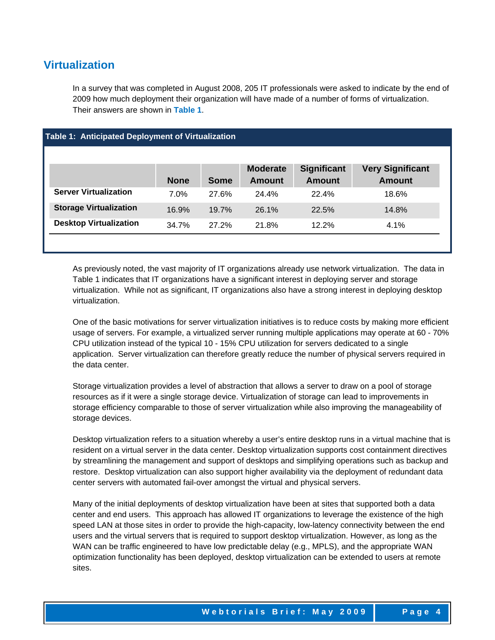### **Virtualization**

In a survey that was completed in August 2008, 205 IT professionals were asked to indicate by the end of 2009 how much deployment their organization will have made of a number of forms of virtualization. Their answers are shown in **Table 1**.

| Table 1: Anticipated Deployment of Virtualization |             |             |                                  |                                     |                                          |  |
|---------------------------------------------------|-------------|-------------|----------------------------------|-------------------------------------|------------------------------------------|--|
|                                                   |             |             |                                  |                                     |                                          |  |
|                                                   | <b>None</b> | <b>Some</b> | <b>Moderate</b><br><b>Amount</b> | <b>Significant</b><br><b>Amount</b> | <b>Very Significant</b><br><b>Amount</b> |  |
| <b>Server Virtualization</b>                      | 7.0%        | 27.6%       | 24.4%                            | 22.4%                               | 18.6%                                    |  |
| <b>Storage Virtualization</b>                     | 16.9%       | 19.7%       | 26.1%                            | 22.5%                               | 14.8%                                    |  |
| <b>Desktop Virtualization</b>                     | 34.7%       | 27.2%       | 21.8%                            | 12.2%                               | $4.1\%$                                  |  |
|                                                   |             |             |                                  |                                     |                                          |  |

As previously noted, the vast majority of IT organizations already use network virtualization. The data in Table 1 indicates that IT organizations have a significant interest in deploying server and storage virtualization. While not as significant, IT organizations also have a strong interest in deploying desktop virtualization.

One of the basic motivations for server virtualization initiatives is to reduce costs by making more efficient usage of servers. For example, a virtualized server running multiple applications may operate at 60 - 70% CPU utilization instead of the typical 10 - 15% CPU utilization for servers dedicated to a single application. Server virtualization can therefore greatly reduce the number of physical servers required in the data center.

Storage virtualization provides a level of abstraction that allows a server to draw on a pool of storage resources as if it were a single storage device. Virtualization of storage can lead to improvements in storage efficiency comparable to those of server virtualization while also improving the manageability of storage devices.

Desktop virtualization refers to a situation whereby a user's entire desktop runs in a virtual machine that is resident on a virtual server in the data center. Desktop virtualization supports cost containment directives by streamlining the management and support of desktops and simplifying operations such as backup and restore. Desktop virtualization can also support higher availability via the deployment of redundant data center servers with automated fail-over amongst the virtual and physical servers.

Many of the initial deployments of desktop virtualization have been at sites that supported both a data center and end users. This approach has allowed IT organizations to leverage the existence of the high speed LAN at those sites in order to provide the high-capacity, low-latency connectivity between the end users and the virtual servers that is required to support desktop virtualization. However, as long as the WAN can be traffic engineered to have low predictable delay (e.g., MPLS), and the appropriate WAN optimization functionality has been deployed, desktop virtualization can be extended to users at remote sites.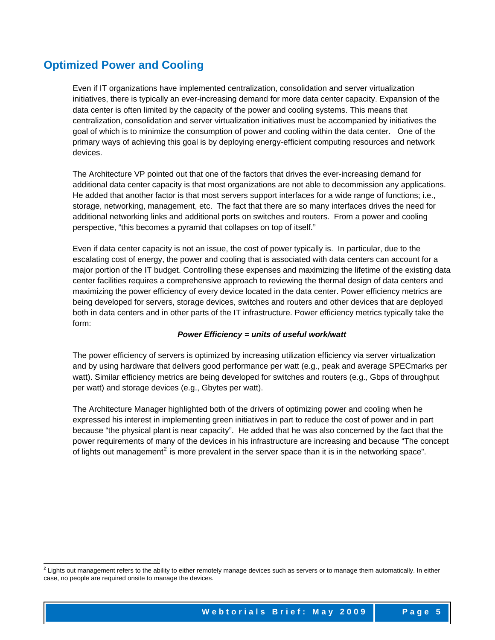### **Optimized Power and Cooling**

Even if IT organizations have implemented centralization, consolidation and server virtualization initiatives, there is typically an ever-increasing demand for more data center capacity. Expansion of the data center is often limited by the capacity of the power and cooling systems. This means that centralization, consolidation and server virtualization initiatives must be accompanied by initiatives the goal of which is to minimize the consumption of power and cooling within the data center. One of the primary ways of achieving this goal is by deploying energy-efficient computing resources and network devices.

The Architecture VP pointed out that one of the factors that drives the ever-increasing demand for additional data center capacity is that most organizations are not able to decommission any applications. He added that another factor is that most servers support interfaces for a wide range of functions; i.e., storage, networking, management, etc. The fact that there are so many interfaces drives the need for additional networking links and additional ports on switches and routers. From a power and cooling perspective, "this becomes a pyramid that collapses on top of itself."

Even if data center capacity is not an issue, the cost of power typically is. In particular, due to the escalating cost of energy, the power and cooling that is associated with data centers can account for a major portion of the IT budget. Controlling these expenses and maximizing the lifetime of the existing data center facilities requires a comprehensive approach to reviewing the thermal design of data centers and maximizing the power efficiency of every device located in the data center. Power efficiency metrics are being developed for servers, storage devices, switches and routers and other devices that are deployed both in data centers and in other parts of the IT infrastructure. Power efficiency metrics typically take the form:

#### *Power Efficiency = units of useful work/watt*

The power efficiency of servers is optimized by increasing utilization efficiency via server virtualization and by using hardware that delivers good performance per watt (e.g., peak and average SPECmarks per watt). Similar efficiency metrics are being developed for switches and routers (e.g., Gbps of throughput per watt) and storage devices (e.g., Gbytes per watt).

The Architecture Manager highlighted both of the drivers of optimizing power and cooling when he expressed his interest in implementing green initiatives in part to reduce the cost of power and in part because "the physical plant is near capacity". He added that he was also concerned by the fact that the power requirements of many of the devices in his infrastructure are increasing and because "The concept of lights out management<sup>[2](#page-4-0)</sup> is more prevalent in the server space than it is in the networking space".

<span id="page-4-0"></span> 2 Lights out management refers to the ability to either remotely manage devices such as servers or to manage them automatically. In either case, no people are required onsite to manage the devices.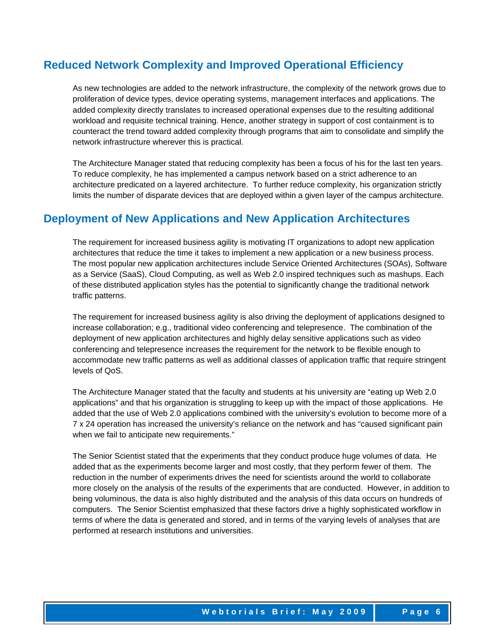### **Reduced Network Complexity and Improved Operational Efficiency**

As new technologies are added to the network infrastructure, the complexity of the network grows due to proliferation of device types, device operating systems, management interfaces and applications. The added complexity directly translates to increased operational expenses due to the resulting additional workload and requisite technical training. Hence, another strategy in support of cost containment is to counteract the trend toward added complexity through programs that aim to consolidate and simplify the network infrastructure wherever this is practical.

The Architecture Manager stated that reducing complexity has been a focus of his for the last ten years. To reduce complexity, he has implemented a campus network based on a strict adherence to an architecture predicated on a layered architecture. To further reduce complexity, his organization strictly limits the number of disparate devices that are deployed within a given layer of the campus architecture.

### **Deployment of New Applications and New Application Architectures**

The requirement for increased business agility is motivating IT organizations to adopt new application architectures that reduce the time it takes to implement a new application or a new business process. The most popular new application architectures include Service Oriented Architectures (SOAs), Software as a Service (SaaS), Cloud Computing, as well as Web 2.0 inspired techniques such as mashups. Each of these distributed application styles has the potential to significantly change the traditional network traffic patterns.

The requirement for increased business agility is also driving the deployment of applications designed to increase collaboration; e.g., traditional video conferencing and telepresence. The combination of the deployment of new application architectures and highly delay sensitive applications such as video conferencing and telepresence increases the requirement for the network to be flexible enough to accommodate new traffic patterns as well as additional classes of application traffic that require stringent levels of QoS.

The Architecture Manager stated that the faculty and students at his university are "eating up Web 2.0 applications" and that his organization is struggling to keep up with the impact of those applications. He added that the use of Web 2.0 applications combined with the university's evolution to become more of a 7 x 24 operation has increased the university's reliance on the network and has "caused significant pain when we fail to anticipate new requirements."

The Senior Scientist stated that the experiments that they conduct produce huge volumes of data. He added that as the experiments become larger and most costly, that they perform fewer of them. The reduction in the number of experiments drives the need for scientists around the world to collaborate more closely on the analysis of the results of the experiments that are conducted. However, in addition to being voluminous, the data is also highly distributed and the analysis of this data occurs on hundreds of computers. The Senior Scientist emphasized that these factors drive a highly sophisticated workflow in terms of where the data is generated and stored, and in terms of the varying levels of analyses that are performed at research institutions and universities.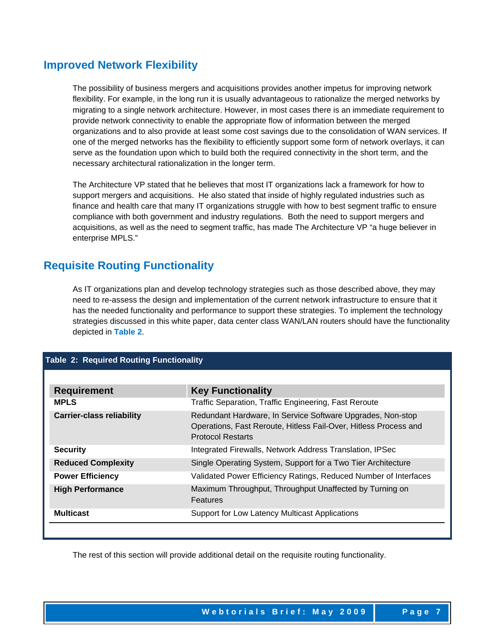### **Improved Network Flexibility**

The possibility of business mergers and acquisitions provides another impetus for improving network flexibility. For example, in the long run it is usually advantageous to rationalize the merged networks by migrating to a single network architecture. However, in most cases there is an immediate requirement to provide network connectivity to enable the appropriate flow of information between the merged organizations and to also provide at least some cost savings due to the consolidation of WAN services. If one of the merged networks has the flexibility to efficiently support some form of network overlays, it can serve as the foundation upon which to build both the required connectivity in the short term, and the necessary architectural rationalization in the longer term.

The Architecture VP stated that he believes that most IT organizations lack a framework for how to support mergers and acquisitions. He also stated that inside of highly regulated industries such as finance and health care that many IT organizations struggle with how to best segment traffic to ensure compliance with both government and industry regulations. Both the need to support mergers and acquisitions, as well as the need to segment traffic, has made The Architecture VP "a huge believer in enterprise MPLS."

### **Requisite Routing Functionality**

As IT organizations plan and develop technology strategies such as those described above, they may need to re-assess the design and implementation of the current network infrastructure to ensure that it has the needed functionality and performance to support these strategies. To implement the technology strategies discussed in this white paper, data center class WAN/LAN routers should have the functionality depicted in **Table 2**.

### **Table 2: Required Routing Functionality**

| <b>Requirement</b>               | <b>Key Functionality</b>                                                                                                                                   |  |  |
|----------------------------------|------------------------------------------------------------------------------------------------------------------------------------------------------------|--|--|
| <b>MPLS</b>                      | Traffic Separation, Traffic Engineering, Fast Reroute                                                                                                      |  |  |
| <b>Carrier-class reliability</b> | Redundant Hardware, In Service Software Upgrades, Non-stop<br>Operations, Fast Reroute, Hitless Fail-Over, Hitless Process and<br><b>Protocol Restarts</b> |  |  |
| <b>Security</b>                  | Integrated Firewalls, Network Address Translation, IPSec                                                                                                   |  |  |
| <b>Reduced Complexity</b>        | Single Operating System, Support for a Two Tier Architecture                                                                                               |  |  |
| <b>Power Efficiency</b>          | Validated Power Efficiency Ratings, Reduced Number of Interfaces                                                                                           |  |  |
| <b>High Performance</b>          | Maximum Throughput, Throughput Unaffected by Turning on<br>Features                                                                                        |  |  |
| <b>Multicast</b>                 | Support for Low Latency Multicast Applications                                                                                                             |  |  |

The rest of this section will provide additional detail on the requisite routing functionality.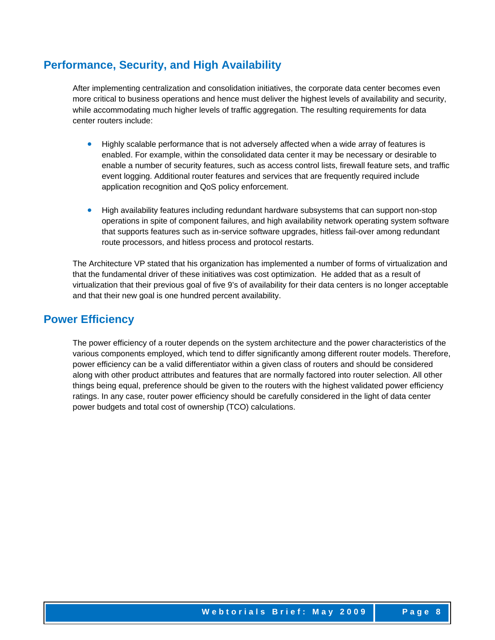### **Performance, Security, and High Availability**

After implementing centralization and consolidation initiatives, the corporate data center becomes even more critical to business operations and hence must deliver the highest levels of availability and security, while accommodating much higher levels of traffic aggregation. The resulting requirements for data center routers include:

- Highly scalable performance that is not adversely affected when a wide array of features is enabled. For example, within the consolidated data center it may be necessary or desirable to enable a number of security features, such as access control lists, firewall feature sets, and traffic event logging. Additional router features and services that are frequently required include application recognition and QoS policy enforcement.
- High availability features including redundant hardware subsystems that can support non-stop operations in spite of component failures, and high availability network operating system software that supports features such as in-service software upgrades, hitless fail-over among redundant route processors, and hitless process and protocol restarts.

The Architecture VP stated that his organization has implemented a number of forms of virtualization and that the fundamental driver of these initiatives was cost optimization. He added that as a result of virtualization that their previous goal of five 9's of availability for their data centers is no longer acceptable and that their new goal is one hundred percent availability.

### **Power Efficiency**

The power efficiency of a router depends on the system architecture and the power characteristics of the various components employed, which tend to differ significantly among different router models. Therefore, power efficiency can be a valid differentiator within a given class of routers and should be considered along with other product attributes and features that are normally factored into router selection. All other things being equal, preference should be given to the routers with the highest validated power efficiency ratings. In any case, router power efficiency should be carefully considered in the light of data center power budgets and total cost of ownership (TCO) calculations.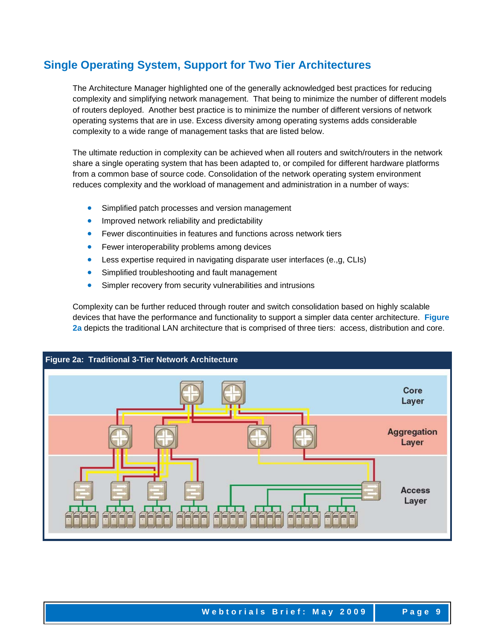## **Single Operating System, Support for Two Tier Architectures**

The Architecture Manager highlighted one of the generally acknowledged best practices for reducing complexity and simplifying network management. That being to minimize the number of different models of routers deployed. Another best practice is to minimize the number of different versions of network operating systems that are in use. Excess diversity among operating systems adds considerable complexity to a wide range of management tasks that are listed below.

The ultimate reduction in complexity can be achieved when all routers and switch/routers in the network share a single operating system that has been adapted to, or compiled for different hardware platforms from a common base of source code. Consolidation of the network operating system environment reduces complexity and the workload of management and administration in a number of ways:

- Simplified patch processes and version management
- Improved network reliability and predictability
- Fewer discontinuities in features and functions across network tiers
- Fewer interoperability problems among devices
- Less expertise required in navigating disparate user interfaces (e.,g, CLIs)
- Simplified troubleshooting and fault management
- Simpler recovery from security vulnerabilities and intrusions

Complexity can be further reduced through router and switch consolidation based on highly scalable devices that have the performance and functionality to support a simpler data center architecture. **Figure 2a** depicts the traditional LAN architecture that is comprised of three tiers: access, distribution and core.

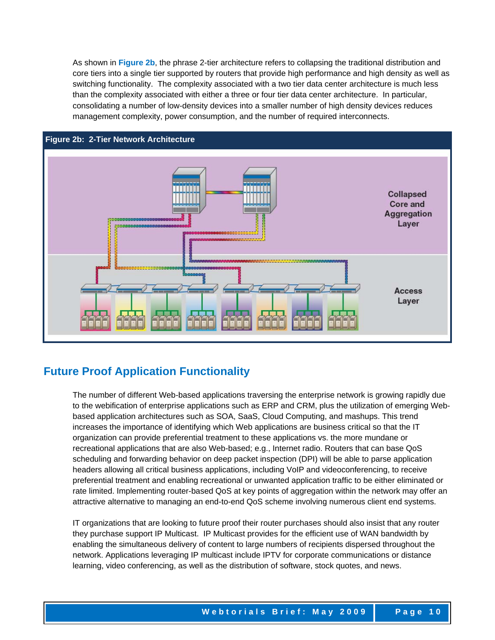As shown in **Figure 2b**, the phrase 2-tier architecture refers to collapsing the traditional distribution and core tiers into a single tier supported by routers that provide high performance and high density as well as switching functionality. The complexity associated with a two tier data center architecture is much less than the complexity associated with either a three or four tier data center architecture. In particular, consolidating a number of low-density devices into a smaller number of high density devices reduces management complexity, power consumption, and the number of required interconnects.



### **Future Proof Application Functionality**

The number of different Web-based applications traversing the enterprise network is growing rapidly due to the webification of enterprise applications such as ERP and CRM, plus the utilization of emerging Webbased application architectures such as SOA, SaaS, Cloud Computing, and mashups. This trend increases the importance of identifying which Web applications are business critical so that the IT organization can provide preferential treatment to these applications vs. the more mundane or recreational applications that are also Web-based; e.g., Internet radio. Routers that can base QoS scheduling and forwarding behavior on deep packet inspection (DPI) will be able to parse application headers allowing all critical business applications, including VoIP and videoconferencing, to receive preferential treatment and enabling recreational or unwanted application traffic to be either eliminated or rate limited. Implementing router-based QoS at key points of aggregation within the network may offer an attractive alternative to managing an end-to-end QoS scheme involving numerous client end systems.

IT organizations that are looking to future proof their router purchases should also insist that any router they purchase support IP Multicast. IP Multicast provides for the efficient use of WAN bandwidth by enabling the simultaneous delivery of content to large numbers of recipients dispersed throughout the network. Applications leveraging IP multicast include IPTV for corporate communications or distance learning, video conferencing, as well as the distribution of software, stock quotes, and news.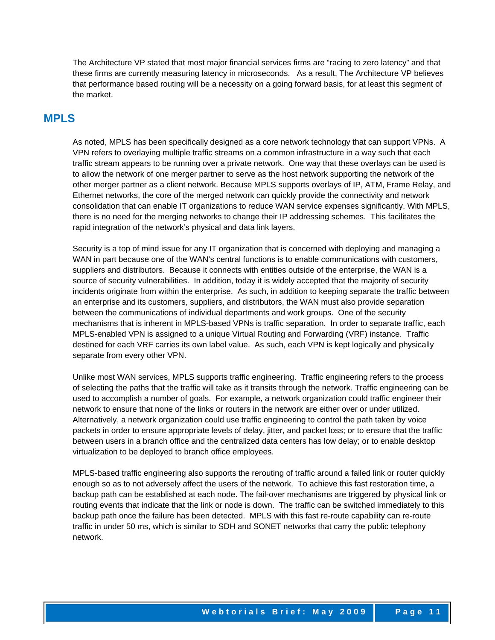The Architecture VP stated that most major financial services firms are "racing to zero latency" and that these firms are currently measuring latency in microseconds. As a result, The Architecture VP believes that performance based routing will be a necessity on a going forward basis, for at least this segment of the market.

### **MPLS**

As noted, MPLS has been specifically designed as a core network technology that can support VPNs. A VPN refers to overlaying multiple traffic streams on a common infrastructure in a way such that each traffic stream appears to be running over a private network. One way that these overlays can be used is to allow the network of one merger partner to serve as the host network supporting the network of the other merger partner as a client network. Because MPLS supports overlays of IP, ATM, Frame Relay, and Ethernet networks, the core of the merged network can quickly provide the connectivity and network consolidation that can enable IT organizations to reduce WAN service expenses significantly. With MPLS, there is no need for the merging networks to change their IP addressing schemes. This facilitates the rapid integration of the network's physical and data link layers.

Security is a top of mind issue for any IT organization that is concerned with deploying and managing a WAN in part because one of the WAN's central functions is to enable communications with customers, suppliers and distributors. Because it connects with entities outside of the enterprise, the WAN is a source of security vulnerabilities. In addition, today it is widely accepted that the majority of security incidents originate from within the enterprise. As such, in addition to keeping separate the traffic between an enterprise and its customers, suppliers, and distributors, the WAN must also provide separation between the communications of individual departments and work groups. One of the security mechanisms that is inherent in MPLS-based VPNs is traffic separation. In order to separate traffic, each MPLS-enabled VPN is assigned to a unique Virtual Routing and Forwarding (VRF) instance. Traffic destined for each VRF carries its own label value. As such, each VPN is kept logically and physically separate from every other VPN.

Unlike most WAN services, MPLS supports traffic engineering. Traffic engineering refers to the process of selecting the paths that the traffic will take as it transits through the network. Traffic engineering can be used to accomplish a number of goals. For example, a network organization could traffic engineer their network to ensure that none of the links or routers in the network are either over or under utilized. Alternatively, a network organization could use traffic engineering to control the path taken by voice packets in order to ensure appropriate levels of delay, jitter, and packet loss; or to ensure that the traffic between users in a branch office and the centralized data centers has low delay; or to enable desktop virtualization to be deployed to branch office employees.

MPLS-based traffic engineering also supports the rerouting of traffic around a failed link or router quickly enough so as to not adversely affect the users of the network. To achieve this fast restoration time, a backup path can be established at each node. The fail-over mechanisms are triggered by physical link or routing events that indicate that the link or node is down. The traffic can be switched immediately to this backup path once the failure has been detected. MPLS with this fast re-route capability can re-route traffic in under 50 ms, which is similar to SDH and SONET networks that carry the public telephony network.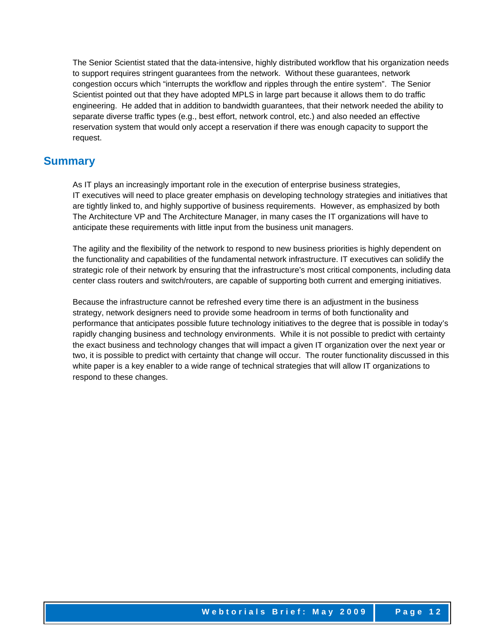The Senior Scientist stated that the data-intensive, highly distributed workflow that his organization needs to support requires stringent guarantees from the network. Without these guarantees, network congestion occurs which "interrupts the workflow and ripples through the entire system". The Senior Scientist pointed out that they have adopted MPLS in large part because it allows them to do traffic engineering. He added that in addition to bandwidth guarantees, that their network needed the ability to separate diverse traffic types (e.g., best effort, network control, etc.) and also needed an effective reservation system that would only accept a reservation if there was enough capacity to support the request.

### **Summary**

As IT plays an increasingly important role in the execution of enterprise business strategies, IT executives will need to place greater emphasis on developing technology strategies and initiatives that are tightly linked to, and highly supportive of business requirements. However, as emphasized by both The Architecture VP and The Architecture Manager, in many cases the IT organizations will have to anticipate these requirements with little input from the business unit managers.

The agility and the flexibility of the network to respond to new business priorities is highly dependent on the functionality and capabilities of the fundamental network infrastructure. IT executives can solidify the strategic role of their network by ensuring that the infrastructure's most critical components, including data center class routers and switch/routers, are capable of supporting both current and emerging initiatives.

Because the infrastructure cannot be refreshed every time there is an adjustment in the business strategy, network designers need to provide some headroom in terms of both functionality and performance that anticipates possible future technology initiatives to the degree that is possible in today's rapidly changing business and technology environments. While it is not possible to predict with certainty the exact business and technology changes that will impact a given IT organization over the next year or two, it is possible to predict with certainty that change will occur. The router functionality discussed in this white paper is a key enabler to a wide range of technical strategies that will allow IT organizations to respond to these changes.